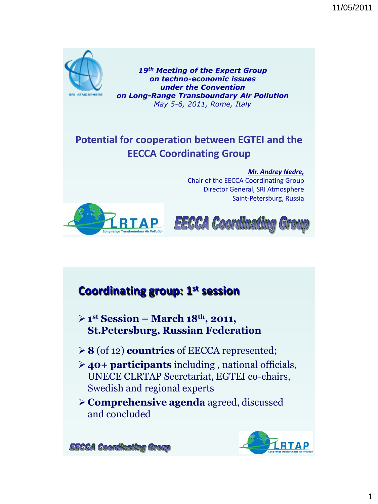11/05/2011



*19th Meeting of the Expert Group on techno-economic issues under the Convention on Long-Range Transboundary Air Pollution May 5-6, 2011, Rome, Italy* 

#### **Potential for cooperation between EGTEI and the EECCA Coordinating Group**

*Mr. Andrey Nedre,* Chair of the EECCA Coordinating Group Director General, SRI Atmosphere Saint-Petersburg, Russia



**EECCA Coordinating Group** 

### **Coordinating group: 1st session**

- **1 st Session – March 18th, 2011, St.Petersburg, Russian Federation**
- **8** (of 12) **countries** of EECCA represented;
- **40+ participants** including , national officials, UNECE CLRTAP Secretariat, EGTEI co-chairs, Swedish and regional experts
- **Comprehensive agenda** agreed, discussed and concluded



**EECCA Coordinating Group**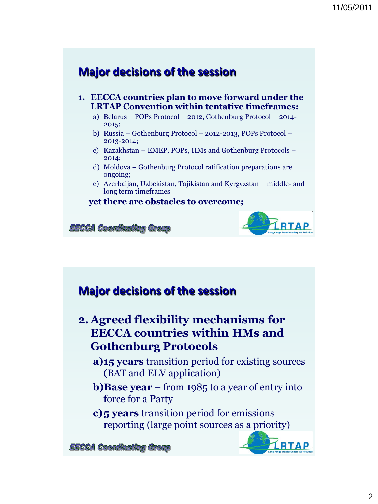#### **Major decisions of the session**

- **1. EECCA countries plan to move forward under the LRTAP Convention within tentative timeframes:**
	- a) Belarus POPs Protocol 2012, Gothenburg Protocol 2014- 2015;
	- b) Russia Gothenburg Protocol 2012-2013, POPs Protocol 2013-2014;
	- c) Kazakhstan EMEP, POPs, HMs and Gothenburg Protocols 2014;
	- d) Moldova Gothenburg Protocol ratification preparations are ongoing;
	- e) Azerbaijan, Uzbekistan, Tajikistan and Kyrgyzstan middle- and long term timeframes

#### **yet there are obstacles to overcome;**

**EECCA Coordinating Group** 

#### **Major decisions of the session**

#### **2. Agreed flexibility mechanisms for EECCA countries within HMs and Gothenburg Protocols**

- **a)15 years** transition period for existing sources (BAT and ELV application)
- **b)Base year** from 1985 to a year of entry into force for a Party
- **c)5 years** transition period for emissions reporting (large point sources as a priority)

**EECCA Coordinating Group** 



**RTAP**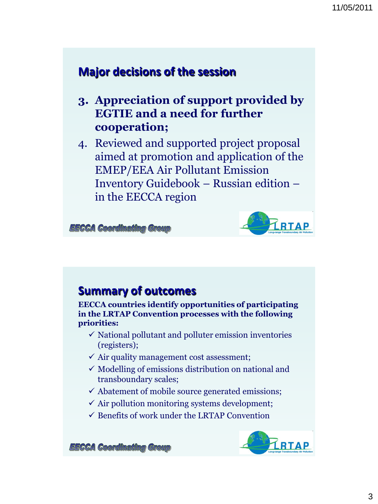#### **Major decisions of the session**

- **3. Appreciation of support provided by EGTIE and a need for further cooperation;**
- 4. Reviewed and supported project proposal aimed at promotion and application of the EMEP/EEA Air Pollutant Emission Inventory Guidebook – Russian edition – in the EECCA region

**EECCA Coordinating Group** 



#### **Summary of outcomes**

**EECCA countries identify opportunities of participating in the LRTAP Convention processes with the following priorities:**

- $\checkmark$  National pollutant and polluter emission inventories (registers);
- $\checkmark$  Air quality management cost assessment;
- $\checkmark$  Modelling of emissions distribution on national and transboundary scales;
- $\checkmark$  Abatement of mobile source generated emissions;
- $\checkmark$  Air pollution monitoring systems development;
- $\checkmark$  Benefits of work under the LRTAP Convention



**EECCA Coordinating Group**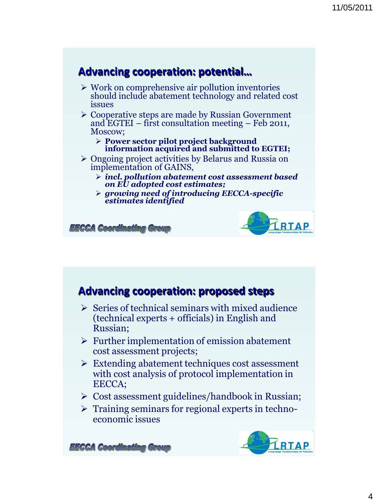#### **Advancing cooperation: potential…**

- $\triangleright$  Work on comprehensive air pollution inventories should include abatement technology and related cost issues
- Cooperative steps are made by Russian Government and EGTEI – first consultation meeting – Feb 2011, Moscow;
	- **Power sector pilot project background information acquired and submitted to EGTEI;**
- Ongoing project activities by Belarus and Russia on implementation of GAINS,
	- *incl. pollution abatement cost assessment based on EU adopted cost estimates;*
	- *growing need of introducing EECCA-specific estimates identified*

*EECCA Coordinating Group* 



#### **Advancing cooperation: proposed steps**

- $\triangleright$  Series of technical seminars with mixed audience (technical experts + officials) in English and Russian;
- $\triangleright$  Further implementation of emission abatement cost assessment projects;
- Extending abatement techniques cost assessment with cost analysis of protocol implementation in EECCA;
- $\triangleright$  Cost assessment guidelines/handbook in Russian;
- $\triangleright$  Training seminars for regional experts in technoeconomic issues



**EECCA Coordinating Group**